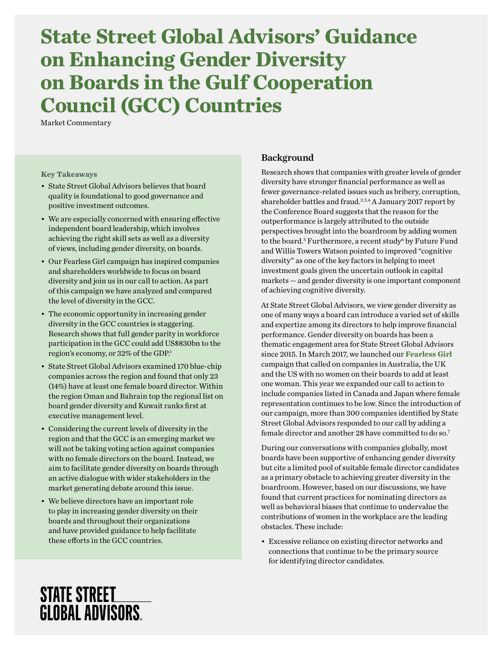# **State Street Global Advisors' Guidance on Enhancing Gender Diversity on Boards in the Gulf Cooperation Council (GCC) Countries**

Market Commentary

#### **Key Takeaways**

- State Street Global Advisors believes that board quality is foundational to good governance and positive investment outcomes.
- We are especially concerned with ensuring effective independent board leadership, which involves achieving the right skill sets as well as a diversity of views, including gender diversity, on boards.
- Our Fearless Girl campaign has inspired companies and shareholders worldwide to focus on board diversity and join us in our call to action. As part of this campaign we have analyzed and compared the level of diversity in the GCC.
- The economic opportunity in increasing gender diversity in the GCC countries is staggering. Research shows that full gender parity in workforce participation in the GCC could add US\$830bn to the region's economy, or 32% of the GDP.1
- State Street Global Advisors examined 170 blue-chip companies across the region and found that only 23 (14%) have at least one female board director. Within the region Oman and Bahrain top the regional list on board gender diversity and Kuwait ranks first at executive management level.
- Considering the current levels of diversity in the region and that the GCC is an emerging market we will not be taking voting action against companies with no female directors on the board. Instead, we aim to facilitate gender diversity on boards through an active dialogue with wider stakeholders in the market generating debate around this issue.
- We believe directors have an important role to play in increasing gender diversity on their boards and throughout their organizations and have provided guidance to help facilitate these efforts in the GCC countries.

### Background

Research shows that companies with greater levels of gender diversity have stronger financial performance as well as fewer governance-related issues such as bribery, corruption, shareholder battles and fraud.<sup>2,3,4</sup> A January 2017 report by the Conference Board suggests that the reason for the outperformance is largely attributed to the outside perspectives brought into the boardroom by adding women to the board.<sup>5</sup> Furthermore, a recent study<sup>6</sup> by Future Fund and Willis Towers Watson pointed to improved "cognitive diversity" as one of the key factors in helping to meet investment goals given the uncertain outlook in capital markets — and gender diversity is one important component of achieving cognitive diversity.

At State Street Global Advisors, we view gender diversity as one of many ways a board can introduce a varied set of skills and expertize among its directors to help improve financial performance. Gender diversity on boards has been a thematic engagement area for State Street Global Advisors since 2015. In March 2017, we launched our **[Fearless Girl](https://www.ssga.com/eu/gb/institutional-investor/en/about-us/who-we-are/fearless-girl.html)** campaign that called on companies in Australia, the UK and the US with no women on their boards to add at least one woman. This year we expanded our call to action to include companies listed in Canada and Japan where female representation continues to be low. Since the introduction of our campaign, more than 300 companies identified by State Street Global Advisors responded to our call by adding a female director and another 28 have committed to do so.7

During our conversations with companies globally, most boards have been supportive of enhancing gender diversity but cite a limited pool of suitable female director candidates as a primary obstacle to achieving greater diversity in the boardroom. However, based on our discussions, we have found that current practices for nominating directors as well as behavioral biases that continue to undervalue the contributions of women in the workplace are the leading obstacles. These include:

• Excessive reliance on existing director networks and connections that continue to be the primary source for identifying director candidates.

## **STATE STREET GLOBAL ADVISORS.**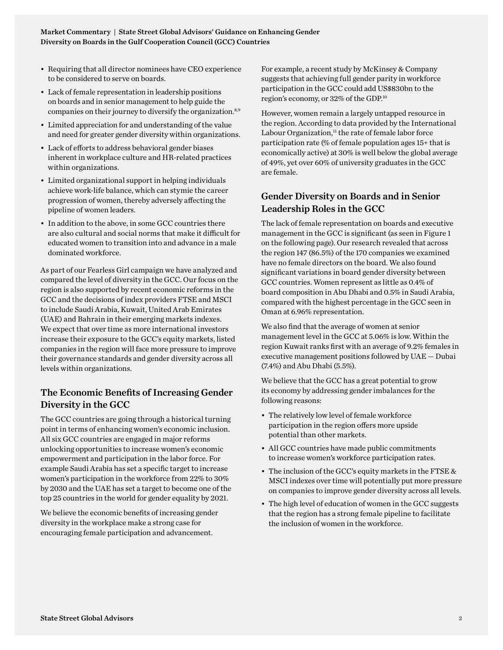- Requiring that all director nominees have CEO experience to be considered to serve on boards.
- Lack of female representation in leadership positions on boards and in senior management to help guide the companies on their journey to diversify the organization.<sup>8,9</sup>
- Limited appreciation for and understanding of the value and need for greater gender diversity within organizations.
- Lack of efforts to address behavioral gender biases inherent in workplace culture and HR-related practices within organizations.
- Limited organizational support in helping individuals achieve work-life balance, which can stymie the career progression of women, thereby adversely affecting the pipeline of women leaders.
- In addition to the above, in some GCC countries there are also cultural and social norms that make it difficult for educated women to transition into and advance in a male dominated workforce.

As part of our Fearless Girl campaign we have analyzed and compared the level of diversity in the GCC. Our focus on the region is also supported by recent economic reforms in the GCC and the decisions of index providers FTSE and MSCI to include Saudi Arabia, Kuwait, United Arab Emirates (UAE) and Bahrain in their emerging markets indexes. We expect that over time as more international investors increase their exposure to the GCC's equity markets, listed companies in the region will face more pressure to improve their governance standards and gender diversity across all levels within organizations.

## The Economic Benefits of Increasing Gender Diversity in the GCC

The GCC countries are going through a historical turning point in terms of enhancing women's economic inclusion. All six GCC countries are engaged in major reforms unlocking opportunities to increase women's economic empowerment and participation in the labor force. For example Saudi Arabia has set a specific target to increase women's participation in the workforce from 22% to 30% by 2030 and the UAE has set a target to become one of the top 25 countries in the world for gender equality by 2021.

We believe the economic benefits of increasing gender diversity in the workplace make a strong case for encouraging female participation and advancement.

For example, a recent study by McKinsey & Company suggests that achieving full gender parity in workforce participation in the GCC could add US\$830bn to the region's economy, or 32% of the GDP.10

However, women remain a largely untapped resource in the region. According to data provided by the International Labour Organization, $<sup>11</sup>$  the rate of female labor force</sup> participation rate (% of female population ages 15+ that is economically active) at 30% is well below the global average of 49%, yet over 60% of university graduates in the GCC are female.

## Gender Diversity on Boards and in Senior Leadership Roles in the GCC

The lack of female representation on boards and executive management in the GCC is significant (as seen in Figure 1 on the following page). Our research revealed that across the region 147 (86.5%) of the 170 companies we examined have no female directors on the board. We also found significant variations in board gender diversity between GCC countries. Women represent as little as 0.4% of board composition in Abu Dhabi and 0.5% in Saudi Arabia, compared with the highest percentage in the GCC seen in Oman at 6.96% representation.

We also find that the average of women at senior management level in the GCC at 5.06% is low. Within the region Kuwait ranks first with an average of 9.2% females in executive management positions followed by UAE — Dubai (7.4%) and Abu Dhabi (5.5%).

We believe that the GCC has a great potential to grow its economy by addressing gender imbalances for the following reasons:

- The relatively low level of female workforce participation in the region offers more upside potential than other markets.
- All GCC countries have made public commitments to increase women's workforce participation rates.
- The inclusion of the GCC's equity markets in the FTSE & MSCI indexes over time will potentially put more pressure on companies to improve gender diversity across all levels.
- The high level of education of women in the GCC suggests that the region has a strong female pipeline to facilitate the inclusion of women in the workforce.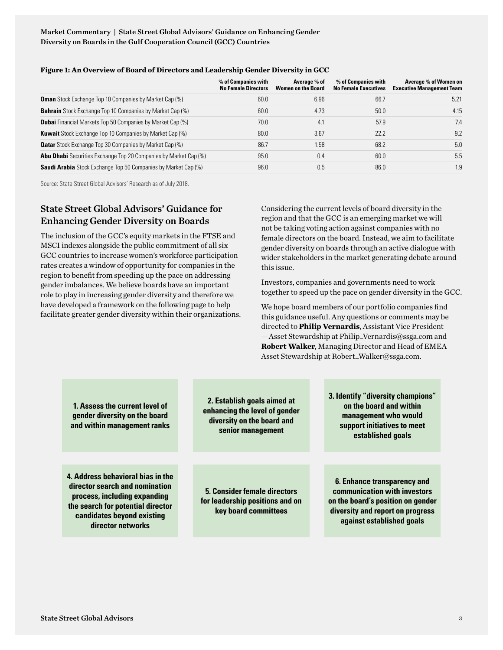Market Commentary | State Street Global Advisors' Guidance on Enhancing Gender Diversity on Boards in the Gulf Cooperation Council (GCC) Countries

|                                                                         | % of Companies with<br><b>No Female Directors</b> | Average % of<br><b>Women on the Board</b> | % of Companies with<br><b>No Female Executives</b> | Average % of Women on<br><b>Executive Management Team</b> |
|-------------------------------------------------------------------------|---------------------------------------------------|-------------------------------------------|----------------------------------------------------|-----------------------------------------------------------|
| <b>Oman</b> Stock Exchange Top 10 Companies by Market Cap (%)           | 60.0                                              | 6.96                                      | 66.7                                               | 5.21                                                      |
| <b>Bahrain</b> Stock Exchange Top 10 Companies by Market Cap (%)        | 60.0                                              | 4.73                                      | 50.0                                               | 4.15                                                      |
| <b>Dubai</b> Financial Markets Top 50 Companies by Market Cap (%)       | 70.0                                              | 4.1                                       | 57.9                                               | 7.4                                                       |
| <b>Kuwait</b> Stock Exchange Top 10 Companies by Market Cap (%)         | 80.0                                              | 3.67                                      | 22.2                                               | 9.2                                                       |
| <b>Qatar</b> Stock Exchange Top 30 Companies by Market Cap (%)          | 86.7                                              | 1.58                                      | 68.2                                               | 5.0                                                       |
| <b>Abu Dhabi</b> Securities Exchange Top 20 Companies by Market Cap (%) | 95.0                                              | 0.4                                       | 60.0                                               | 5.5                                                       |
| <b>Saudi Arabia</b> Stock Exchange Top 50 Companies by Market Cap (%)   | 96.0                                              | 0.5                                       | 86.0                                               | 1.9                                                       |
|                                                                         |                                                   |                                           |                                                    |                                                           |

#### **Figure 1: An Overview of Board of Directors and Leadership Gender Diversity in GCC**

Source: State Street Global Advisors' Research as of July 2018.

## State Street Global Advisors' Guidance for Enhancing Gender Diversity on Boards

The inclusion of the GCC's equity markets in the FTSE and MSCI indexes alongside the public commitment of all six GCC countries to increase women's workforce participation rates creates a window of opportunity for companies in the region to benefit from speeding up the pace on addressing gender imbalances. We believe boards have an important role to play in increasing gender diversity and therefore we have developed a framework on the following page to help facilitate greater gender diversity within their organizations. Considering the current levels of board diversity in the region and that the GCC is an emerging market we will not be taking voting action against companies with no female directors on the board. Instead, we aim to facilitate gender diversity on boards through an active dialogue with wider stakeholders in the market generating debate around this issue.

Investors, companies and governments need to work together to speed up the pace on gender diversity in the GCC.

We hope board members of our portfolio companies find this guidance useful. Any questions or comments may be directed to **Philip Vernardis**, Assistant Vice President — Asset Stewardship at [Philip\\_Vernardis@ssga.com](mailto:Philip_Vernardis%40ssga.com?subject=) and **Robert Walker**, Managing Director and Head of EMEA Asset Stewardship at [Robert\\_Walker@ssga.com.](mailto:Robert_Walker%40ssga.com?subject=)

**1. Assess the current level of gender diversity on the board and within management ranks**

**4. Address behavioral bias in the director search and nomination process, including expanding the search for potential director candidates beyond existing director networks**

**2. Establish goals aimed at enhancing the level of gender diversity on the board and senior management**

**5. Consider female directors for leadership positions and on key board committees**

**3. Identify "diversity champions" on the board and within management who would support initiatives to meet established goals**

**6. Enhance transparency and communication with investors on the board's position on gender diversity and report on progress against established goals**